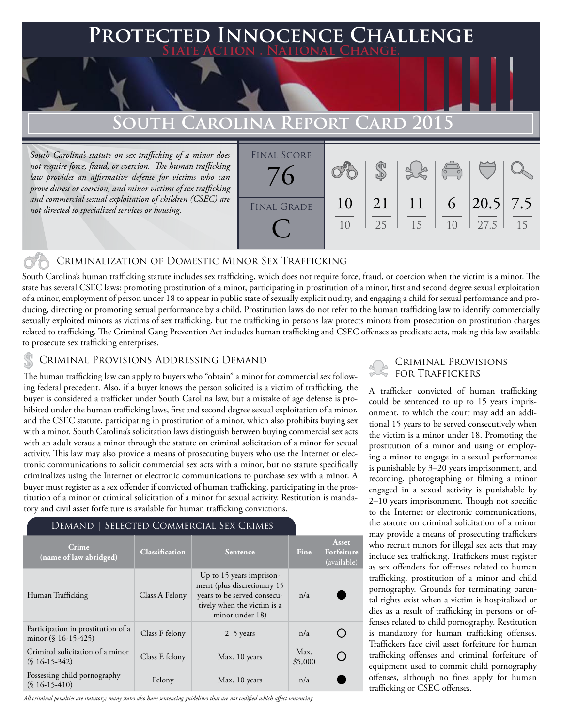## **FECTED INNOCENCE CHALLENGE State Action . National Change.**

# **South Carolina Report Card 2015**

*South Carolina's statute on sex trafficking of a minor does not require force, fraud, or coercion. The human trafficking law provides an affirmative defense for victims who can prove duress or coercion, and minor victims of sex trafficking and commercial sexual exploitation of children (CSEC) are not directed to specialized services or housing.*

 $\mathbb{C}^3$ 



#### Criminalization of Domestic Minor Sex Trafficking

South Carolina's human trafficking statute includes sex trafficking, which does not require force, fraud, or coercion when the victim is a minor. The state has several CSEC laws: promoting prostitution of a minor, participating in prostitution of a minor, first and second degree sexual exploitation of a minor, employment of person under 18 to appear in public state of sexually explicit nudity, and engaging a child for sexual performance and producing, directing or promoting sexual performance by a child. Prostitution laws do not refer to the human trafficking law to identify commercially sexually exploited minors as victims of sex trafficking, but the trafficking in persons law protects minors from prosecution on prostitution charges related to trafficking. The Criminal Gang Prevention Act includes human trafficking and CSEC offenses as predicate acts, making this law available to prosecute sex trafficking enterprises.

#### CRIMINAL PROVISIONS ADDRESSING DEMAND

The human trafficking law can apply to buyers who "obtain" a minor for commercial sex following federal precedent. Also, if a buyer knows the person solicited is a victim of trafficking, the buyer is considered a trafficker under South Carolina law, but a mistake of age defense is prohibited under the human trafficking laws, first and second degree sexual exploitation of a minor, and the CSEC statute, participating in prostitution of a minor, which also prohibits buying sex with a minor. South Carolina's solicitation laws distinguish between buying commercial sex acts with an adult versus a minor through the statute on criminal solicitation of a minor for sexual activity. This law may also provide a means of prosecuting buyers who use the Internet or electronic communications to solicit commercial sex acts with a minor, but no statute specifically criminalizes using the Internet or electronic communications to purchase sex with a minor. A buyer must register as a sex offender if convicted of human trafficking, participating in the prostitution of a minor or criminal solicitation of a minor for sexual activity. Restitution is mandatory and civil asset forfeiture is available for human trafficking convictions.

### Demand | Selected Commercial Sex Crimes

| Crime<br>(name of law abridged)                              | <b>Classification</b> | <b>Sentence</b>                                                                                                                          | <b>Fine</b>     | Asset<br>Forfeiture<br>(available) |
|--------------------------------------------------------------|-----------------------|------------------------------------------------------------------------------------------------------------------------------------------|-----------------|------------------------------------|
| Human Trafficking                                            | Class A Felony        | Up to 15 years imprison-<br>ment (plus discretionary 15<br>years to be served consecu-<br>tively when the victim is a<br>minor under 18) | n/a             |                                    |
| Participation in prostitution of a<br>minor $(\S 16-15-425)$ | Class F felony        | $2-5$ years                                                                                                                              | n/a             |                                    |
| Criminal solicitation of a minor<br>$(S16-15-342)$           | Class E felony        | Max. 10 years                                                                                                                            | Max.<br>\$5,000 |                                    |
| Possessing child pornography<br>$(S16-15-410)$               | Felony                | Max. 10 years                                                                                                                            | n/a             |                                    |

*All criminal penalties are statutory; many states also have sentencing guidelines that are not codified which affect sentencing.* 

### Criminal Provisions for Traffickers

A trafficker convicted of human trafficking could be sentenced to up to 15 years imprisonment, to which the court may add an additional 15 years to be served consecutively when the victim is a minor under 18. Promoting the prostitution of a minor and using or employing a minor to engage in a sexual performance is punishable by 3–20 years imprisonment, and recording, photographing or filming a minor engaged in a sexual activity is punishable by 2–10 years imprisonment. Though not specific to the Internet or electronic communications, the statute on criminal solicitation of a minor may provide a means of prosecuting traffickers who recruit minors for illegal sex acts that may include sex trafficking. Traffickers must register as sex offenders for offenses related to human trafficking, prostitution of a minor and child pornography. Grounds for terminating parental rights exist when a victim is hospitalized or dies as a result of trafficking in persons or offenses related to child pornography. Restitution is mandatory for human trafficking offenses. Traffickers face civil asset forfeiture for human trafficking offenses and criminal forfeiture of equipment used to commit child pornography offenses, although no fines apply for human trafficking or CSEC offenses.